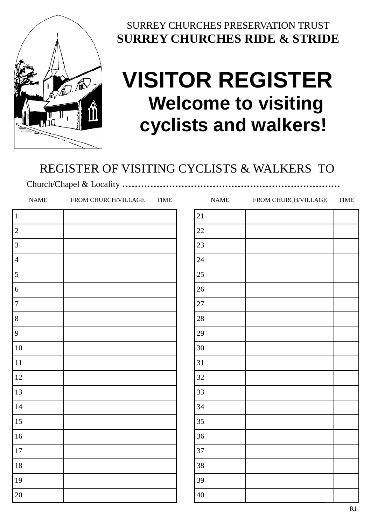

#### SURREY CHURCHES PRESERVATION TRUST **SURREY CHURCHES RIDE & STRIDE**

## **VISITOR REGISTER Welcome to visiting cyclists and walkers!**

### REGISTER OF VISITING CYCLISTS & WALKERS TO

Church/Chapel & Locality ......................................................................

| $\ensuremath{\mathsf{NAME}}$ | FROM CHURCH/VILLAGE | <b>TIME</b> |        | $\ensuremath{\mathsf{NAME}}$ | FROM CHURCH/VILLAGE | <b>TIME</b>  |
|------------------------------|---------------------|-------------|--------|------------------------------|---------------------|--------------|
| $\vert$ 1                    |                     |             | 21     |                              |                     |              |
| $\overline{2}$               |                     |             | 22     |                              |                     |              |
| $\overline{3}$               |                     |             | 23     |                              |                     |              |
| $\overline{4}$               |                     |             | 24     |                              |                     |              |
| 5                            |                     |             | $25\,$ |                              |                     |              |
| $\overline{6}$               |                     |             | 26     |                              |                     |              |
| $\overline{7}$               |                     |             | 27     |                              |                     |              |
| $\overline{8}$               |                     |             | 28     |                              |                     |              |
| 9                            |                     |             | 29     |                              |                     |              |
| $10\,$                       |                     |             | 30     |                              |                     |              |
| $11\,$                       |                     |             | 31     |                              |                     |              |
| 12                           |                     |             | 32     |                              |                     |              |
| 13                           |                     |             | 33     |                              |                     |              |
| 14                           |                     |             | 34     |                              |                     |              |
| 15                           |                     |             | 35     |                              |                     |              |
| 16                           |                     |             | 36     |                              |                     |              |
| $17\,$                       |                     |             | 37     |                              |                     |              |
| $18\,$                       |                     |             | 38     |                              |                     |              |
| 19                           |                     |             | 39     |                              |                     |              |
| 20                           |                     |             | $40\,$ |                              |                     |              |
|                              |                     |             |        |                              |                     | $\mathbf{r}$ |